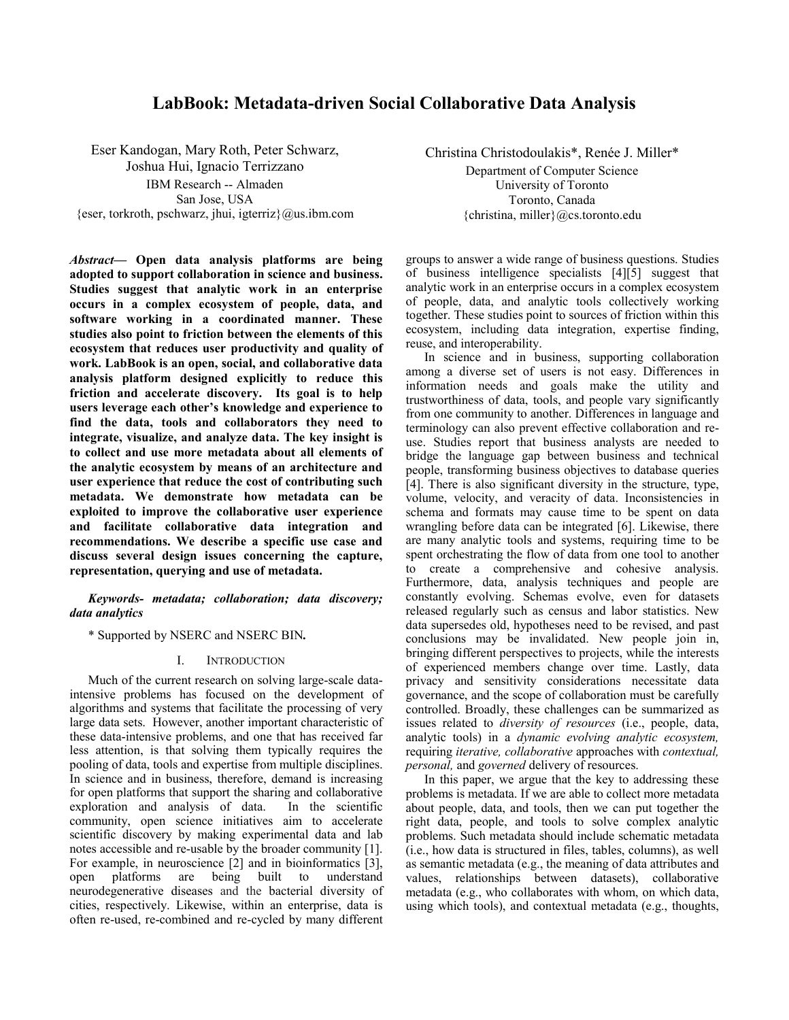# **LabBook: Metadata-driven Social Collaborative Data Analysis**

Eser Kandogan, Mary Roth, Peter Schwarz, Joshua Hui, Ignacio Terrizzano IBM Research -- Almaden San Jose, USA  ${eser, torkroth, pschwarz, jhui, igeterriz}$  @us.ibm.com

*Abstract***— Open data analysis platforms are being adopted to support collaboration in science and business. Studies suggest that analytic work in an enterprise occurs in a complex ecosystem of people, data, and software working in a coordinated manner. These studies also point to friction between the elements of this ecosystem that reduces user productivity and quality of work. LabBook is an open, social, and collaborative data analysis platform designed explicitly to reduce this friction and accelerate discovery. Its goal is to help users leverage each other's knowledge and experience to find the data, tools and collaborators they need to integrate, visualize, and analyze data. The key insight is to collect and use more metadata about all elements of the analytic ecosystem by means of an architecture and user experience that reduce the cost of contributing such metadata. We demonstrate how metadata can be exploited to improve the collaborative user experience and facilitate collaborative data integration and recommendations. We describe a specific use case and discuss several design issues concerning the capture, representation, querying and use of metadata.** 

*Keywords- metadata; collaboration; data discovery; data analytics* 

\* Supported by NSERC and NSERC BIN*.*

### I. INTRODUCTION

Much of the current research on solving large-scale dataintensive problems has focused on the development of algorithms and systems that facilitate the processing of very large data sets. However, another important characteristic of these data-intensive problems, and one that has received far less attention, is that solving them typically requires the pooling of data, tools and expertise from multiple disciplines. In science and in business, therefore, demand is increasing for open platforms that support the sharing and collaborative exploration and analysis of data. In the scientific community, open science initiatives aim to accelerate scientific discovery by making experimental data and lab notes accessible and re-usable by the broader community [1]. For example, in neuroscience [2] and in bioinformatics [3], open platforms are being built to understand neurodegenerative diseases and the bacterial diversity of cities, respectively. Likewise, within an enterprise, data is often re-used, re-combined and re-cycled by many different

Christina Christodoulakis\*, Renée J. Miller\* Department of Computer Science University of Toronto Toronto, Canada {christina, miller}@cs.toronto.edu

groups to answer a wide range of business questions. Studies of business intelligence specialists [4][5] suggest that analytic work in an enterprise occurs in a complex ecosystem of people, data, and analytic tools collectively working together. These studies point to sources of friction within this ecosystem, including data integration, expertise finding, reuse, and interoperability.

In science and in business, supporting collaboration among a diverse set of users is not easy. Differences in information needs and goals make the utility and trustworthiness of data, tools, and people vary significantly from one community to another. Differences in language and terminology can also prevent effective collaboration and reuse. Studies report that business analysts are needed to bridge the language gap between business and technical people, transforming business objectives to database queries [4]. There is also significant diversity in the structure, type, volume, velocity, and veracity of data. Inconsistencies in schema and formats may cause time to be spent on data wrangling before data can be integrated [6]. Likewise, there are many analytic tools and systems, requiring time to be spent orchestrating the flow of data from one tool to another to create a comprehensive and cohesive analysis. Furthermore, data, analysis techniques and people are constantly evolving. Schemas evolve, even for datasets released regularly such as census and labor statistics. New data supersedes old, hypotheses need to be revised, and past conclusions may be invalidated. New people join in, bringing different perspectives to projects, while the interests of experienced members change over time. Lastly, data privacy and sensitivity considerations necessitate data governance, and the scope of collaboration must be carefully controlled. Broadly, these challenges can be summarized as issues related to *diversity of resources* (i.e., people, data, analytic tools) in a *dynamic evolving analytic ecosystem,*  requiring *iterative, collaborative* approaches with *contextual, personal,* and *governed* delivery of resources.

In this paper, we argue that the key to addressing these problems is metadata. If we are able to collect more metadata about people, data, and tools, then we can put together the right data, people, and tools to solve complex analytic problems. Such metadata should include schematic metadata (i.e., how data is structured in files, tables, columns), as well as semantic metadata (e.g., the meaning of data attributes and values, relationships between datasets), collaborative metadata (e.g., who collaborates with whom, on which data, using which tools), and contextual metadata (e.g., thoughts,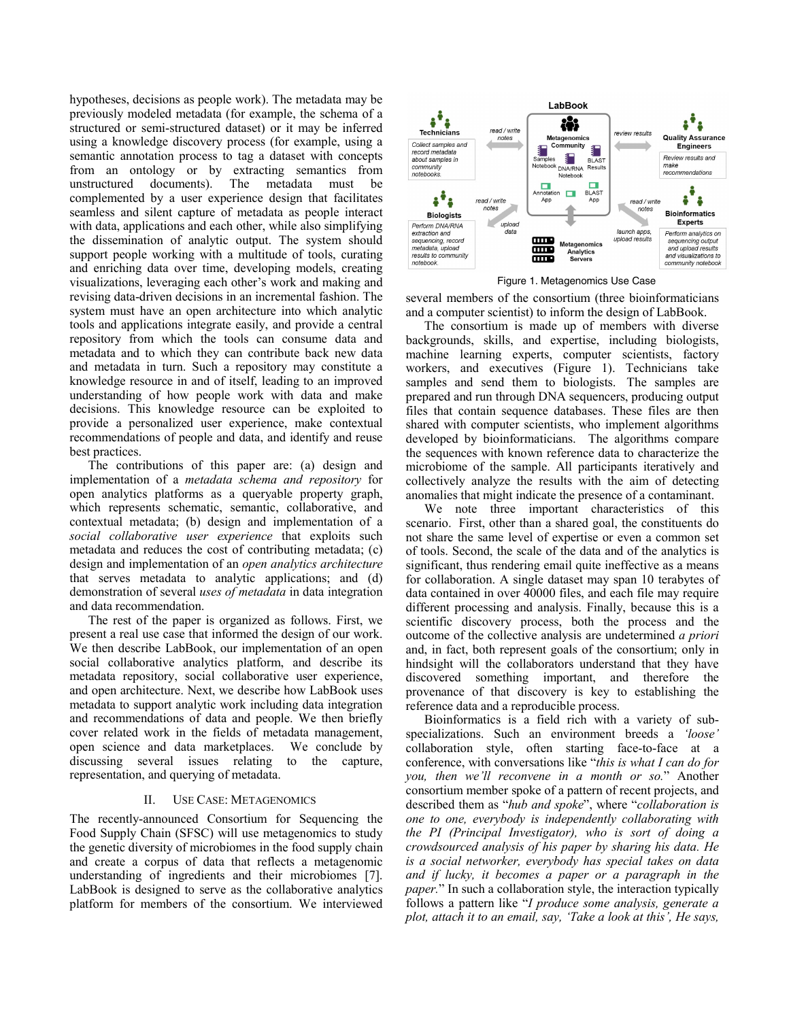hypotheses, decisions as people work). The metadata may be previously modeled metadata (for example, the schema of a structured or semi-structured dataset) or it may be inferred using a knowledge discovery process (for example, using a semantic annotation process to tag a dataset with concepts from an ontology or by extracting semantics from unstructured documents). The metadata must be complemented by a user experience design that facilitates seamless and silent capture of metadata as people interact with data, applications and each other, while also simplifying the dissemination of analytic output. The system should support people working with a multitude of tools, curating and enriching data over time, developing models, creating visualizations, leveraging each other's work and making and revising data-driven decisions in an incremental fashion. The system must have an open architecture into which analytic tools and applications integrate easily, and provide a central repository from which the tools can consume data and metadata and to which they can contribute back new data and metadata in turn. Such a repository may constitute a knowledge resource in and of itself, leading to an improved understanding of how people work with data and make decisions. This knowledge resource can be exploited to provide a personalized user experience, make contextual recommendations of people and data, and identify and reuse best practices.

The contributions of this paper are: (a) design and implementation of a *metadata schema and repository* for open analytics platforms as a queryable property graph, which represents schematic, semantic, collaborative, and contextual metadata; (b) design and implementation of a *social collaborative user experience* that exploits such metadata and reduces the cost of contributing metadata; (c) design and implementation of an *open analytics architecture*  that serves metadata to analytic applications; and (d) demonstration of several *uses of metadata* in data integration and data recommendation.

The rest of the paper is organized as follows. First, we present a real use case that informed the design of our work. We then describe LabBook, our implementation of an open social collaborative analytics platform, and describe its metadata repository, social collaborative user experience, and open architecture. Next, we describe how LabBook uses metadata to support analytic work including data integration and recommendations of data and people. We then briefly cover related work in the fields of metadata management, open science and data marketplaces. We conclude by discussing several issues relating to the capture, representation, and querying of metadata.

# II. USE CASE: METAGENOMICS

The recently-announced Consortium for Sequencing the Food Supply Chain (SFSC) will use metagenomics to study the genetic diversity of microbiomes in the food supply chain and create a corpus of data that reflects a metagenomic understanding of ingredients and their microbiomes [7]. LabBook is designed to serve as the collaborative analytics platform for members of the consortium. We interviewed



Figure 1. Metagenomics Use Case

several members of the consortium (three bioinformaticians and a computer scientist) to inform the design of LabBook.

The consortium is made up of members with diverse backgrounds, skills, and expertise, including biologists, machine learning experts, computer scientists, factory workers, and executives (Figure 1). Technicians take samples and send them to biologists. The samples are prepared and run through DNA sequencers, producing output files that contain sequence databases. These files are then shared with computer scientists, who implement algorithms developed by bioinformaticians. The algorithms compare the sequences with known reference data to characterize the microbiome of the sample. All participants iteratively and collectively analyze the results with the aim of detecting anomalies that might indicate the presence of a contaminant.

We note three important characteristics of this scenario. First, other than a shared goal, the constituents do not share the same level of expertise or even a common set of tools. Second, the scale of the data and of the analytics is significant, thus rendering email quite ineffective as a means for collaboration. A single dataset may span 10 terabytes of data contained in over 40000 files, and each file may require different processing and analysis. Finally, because this is a scientific discovery process, both the process and the outcome of the collective analysis are undetermined *a priori* and, in fact, both represent goals of the consortium; only in hindsight will the collaborators understand that they have discovered something important, and therefore the provenance of that discovery is key to establishing the reference data and a reproducible process.

Bioinformatics is a field rich with a variety of subspecializations. Such an environment breeds a *'loose'* collaboration style, often starting face-to-face at a conference, with conversations like "*this is what I can do for you, then we'll reconvene in a month or so.*" Another consortium member spoke of a pattern of recent projects, and described them as "*hub and spoke*", where "*collaboration is one to one, everybody is independently collaborating with the PI (Principal Investigator), who is sort of doing a crowdsourced analysis of his paper by sharing his data. He is a social networker, everybody has special takes on data and if lucky, it becomes a paper or a paragraph in the paper.*" In such a collaboration style, the interaction typically follows a pattern like "*I produce some analysis, generate a plot, attach it to an email, say, 'Take a look at this', He says,*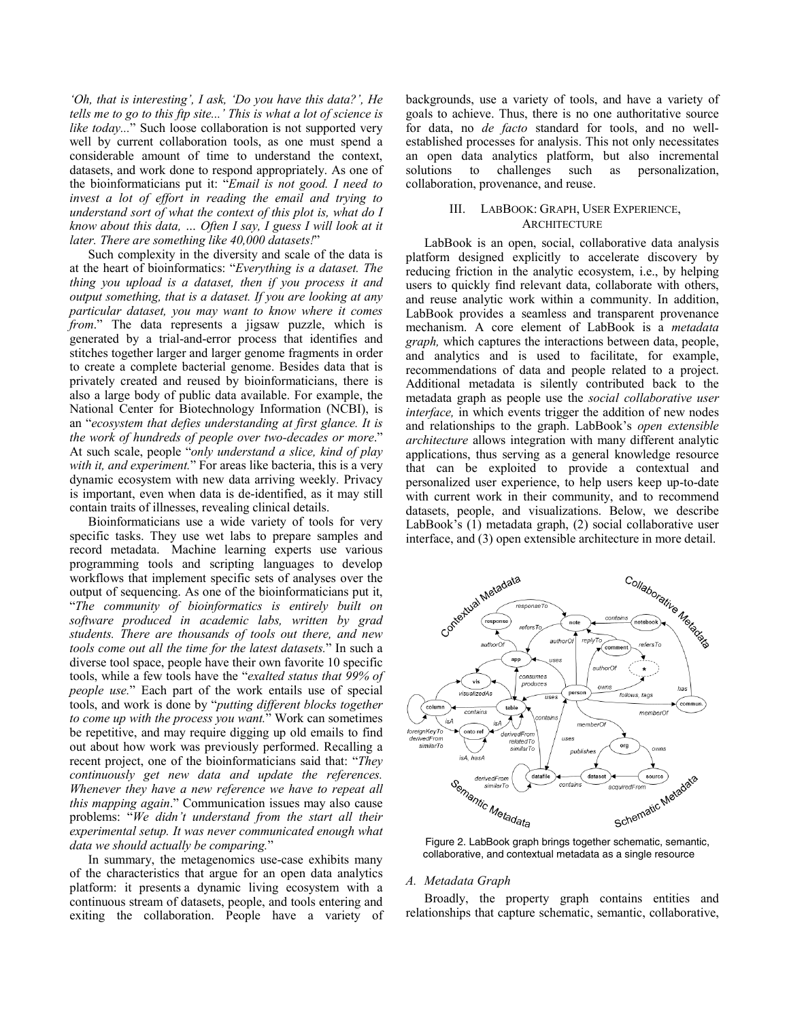*'Oh, that is interesting', I ask, 'Do you have this data?', He tells me to go to this ftp site...' This is what a lot of science is like today...*" Such loose collaboration is not supported very well by current collaboration tools, as one must spend a considerable amount of time to understand the context, datasets, and work done to respond appropriately. As one of the bioinformaticians put it: "*Email is not good. I need to invest a lot of effort in reading the email and trying to understand sort of what the context of this plot is, what do I know about this data, … Often I say, I guess I will look at it later. There are something like 40,000 datasets!*"

Such complexity in the diversity and scale of the data is at the heart of bioinformatics: "*Everything is a dataset. The thing you upload is a dataset, then if you process it and output something, that is a dataset. If you are looking at any particular dataset, you may want to know where it comes from*." The data represents a jigsaw puzzle, which is generated by a trial-and-error process that identifies and stitches together larger and larger genome fragments in order to create a complete bacterial genome. Besides data that is privately created and reused by bioinformaticians, there is also a large body of public data available. For example, the National Center for Biotechnology Information (NCBI), is an "*ecosystem that defies understanding at first glance. It is the work of hundreds of people over two-decades or more*." At such scale, people "*only understand a slice, kind of play with it, and experiment.*" For areas like bacteria, this is a very dynamic ecosystem with new data arriving weekly. Privacy is important, even when data is de-identified, as it may still contain traits of illnesses, revealing clinical details.

Bioinformaticians use a wide variety of tools for very specific tasks. They use wet labs to prepare samples and record metadata. Machine learning experts use various programming tools and scripting languages to develop workflows that implement specific sets of analyses over the output of sequencing. As one of the bioinformaticians put it, "*The community of bioinformatics is entirely built on software produced in academic labs, written by grad students. There are thousands of tools out there, and new tools come out all the time for the latest datasets.*" In such a diverse tool space, people have their own favorite 10 specific tools, while a few tools have the "*exalted status that 99% of people use.*" Each part of the work entails use of special tools, and work is done by "*putting different blocks together to come up with the process you want.*" Work can sometimes be repetitive, and may require digging up old emails to find out about how work was previously performed. Recalling a recent project, one of the bioinformaticians said that: "*They continuously get new data and update the references. Whenever they have a new reference we have to repeat all this mapping again*." Communication issues may also cause problems: "*We didn't understand from the start all their experimental setup. It was never communicated enough what data we should actually be comparing.*"

In summary, the metagenomics use-case exhibits many of the characteristics that argue for an open data analytics platform: it presents a dynamic living ecosystem with a continuous stream of datasets, people, and tools entering and exiting the collaboration. People have a variety of backgrounds, use a variety of tools, and have a variety of goals to achieve. Thus, there is no one authoritative source for data, no *de facto* standard for tools, and no wellestablished processes for analysis. This not only necessitates an open data analytics platform, but also incremental solutions to challenges such as personalization, collaboration, provenance, and reuse.

# III. LABBOOK: GRAPH, USER EXPERIENCE, **ARCHITECTURE**

LabBook is an open, social, collaborative data analysis platform designed explicitly to accelerate discovery by reducing friction in the analytic ecosystem, i.e., by helping users to quickly find relevant data, collaborate with others, and reuse analytic work within a community. In addition, LabBook provides a seamless and transparent provenance mechanism. A core element of LabBook is a *metadata graph,* which captures the interactions between data, people, and analytics and is used to facilitate, for example, recommendations of data and people related to a project. Additional metadata is silently contributed back to the metadata graph as people use the *social collaborative user interface*, in which events trigger the addition of new nodes and relationships to the graph. LabBook's *open extensible architecture* allows integration with many different analytic applications, thus serving as a general knowledge resource that can be exploited to provide a contextual and personalized user experience, to help users keep up-to-date with current work in their community, and to recommend datasets, people, and visualizations. Below, we describe LabBook's (1) metadata graph, (2) social collaborative user interface, and (3) open extensible architecture in more detail.



collaborative, and contextual metadata as a single resource

# *A. Metadata Graph*

Broadly, the property graph contains entities and relationships that capture schematic, semantic, collaborative,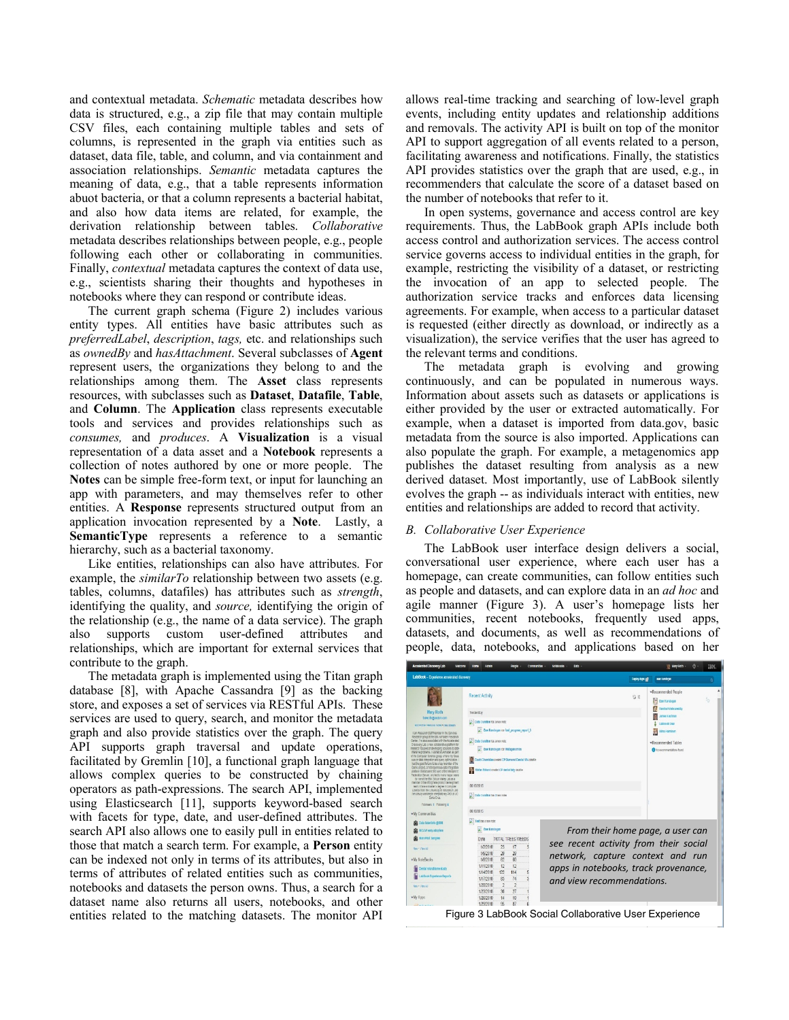and contextual metadata. *Schematic* metadata describes how data is structured, e.g., a zip file that may contain multiple CSV files, each containing multiple tables and sets of columns, is represented in the graph via entities such as dataset, data file, table, and column, and via containment and association relationships. *Semantic* metadata captures the meaning of data, e.g., that a table represents information abuot bacteria, or that a column represents a bacterial habitat, and also how data items are related, for example, the derivation relationship between tables. *Collaborative* metadata describes relationships between people, e.g., people following each other or collaborating in communities. Finally, *contextual* metadata captures the context of data use, e.g., scientists sharing their thoughts and hypotheses in notebooks where they can respond or contribute ideas.

The current graph schema (Figure 2) includes various entity types. All entities have basic attributes such as *preferredLabel*, *description*, *tags,* etc. and relationships such as *ownedBy* and *hasAttachment*. Several subclasses of **Agent** represent users, the organizations they belong to and the relationships among them. The **Asset** class represents resources, with subclasses such as **Dataset**, **Datafile**, **Table**, and **Column**. The **Application** class represents executable tools and services and provides relationships such as *consumes,* and *produces*. A **Visualization** is a visual representation of a data asset and a **Notebook** represents a collection of notes authored by one or more people. The **Notes** can be simple free-form text, or input for launching an app with parameters, and may themselves refer to other entities. A **Response** represents structured output from an application invocation represented by a **Note**. Lastly, a **SemanticType** represents a reference to a semantic hierarchy, such as a bacterial taxonomy.

Like entities, relationships can also have attributes. For example, the *similarTo* relationship between two assets (e.g. tables, columns, datafiles) has attributes such as *strength*, identifying the quality, and *source,* identifying the origin of the relationship (e.g., the name of a data service). The graph also supports custom user-defined attributes and relationships, which are important for external services that contribute to the graph.

The metadata graph is implemented using the Titan graph database [8], with Apache Cassandra [9] as the backing store, and exposes a set of services via RESTful APIs. These services are used to query, search, and monitor the metadata graph and also provide statistics over the graph. The query API supports graph traversal and update operations, facilitated by Gremlin [10], a functional graph language that allows complex queries to be constructed by chaining operators as path-expressions. The search API, implemented using Elasticsearch [11], supports keyword-based search with facets for type, date, and user-defined attributes. The search API also allows one to easily pull in entities related to those that match a search term. For example, a **Person** entity can be indexed not only in terms of its attributes, but also in terms of attributes of related entities such as communities, notebooks and datasets the person owns. Thus, a search for a dataset name also returns all users, notebooks, and other entities related to the matching datasets. The monitor API allows real-time tracking and searching of low-level graph events, including entity updates and relationship additions and removals. The activity API is built on top of the monitor API to support aggregation of all events related to a person, facilitating awareness and notifications. Finally, the statistics API provides statistics over the graph that are used, e.g., in recommenders that calculate the score of a dataset based on the number of notebooks that refer to it.

In open systems, governance and access control are key requirements. Thus, the LabBook graph APIs include both access control and authorization services. The access control service governs access to individual entities in the graph, for example, restricting the visibility of a dataset, or restricting the invocation of an app to selected people. The authorization service tracks and enforces data licensing agreements. For example, when access to a particular dataset is requested (either directly as download, or indirectly as a visualization), the service verifies that the user has agreed to the relevant terms and conditions.

The metadata graph is evolving and growing continuously, and can be populated in numerous ways. Information about assets such as datasets or applications is either provided by the user or extracted automatically. For example, when a dataset is imported from data.gov, basic metadata from the source is also imported. Applications can also populate the graph. For example, a metagenomics app publishes the dataset resulting from analysis as a new derived dataset. Most importantly, use of LabBook silently evolves the graph -- as individuals interact with entities, new entities and relationships are added to record that activity.

### *B. Collaborative User Experience*

The LabBook user interface design delivers a social, conversational user experience, where each user has a homepage, can create communities, can follow entities such as people and datasets, and can explore data in an *ad hoc* and agile manner (Figure 3). A user's homepage lists her communities, recent notebooks, frequently used apps, datasets, and documents, as well as recommendations of people, data, notebooks, and applications based on her

| LabBook - Experience accelerated discovery                                                                                                            |                                                       |                                                                                                                                                       | Deploy Ages gift<br><b>MAY kandoran</b><br>۵                      |  |
|-------------------------------------------------------------------------------------------------------------------------------------------------------|-------------------------------------------------------|-------------------------------------------------------------------------------------------------------------------------------------------------------|-------------------------------------------------------------------|--|
|                                                                                                                                                       | <b>Recent Activity</b>                                |                                                                                                                                                       | <b>vRecommended People</b><br><b>临时</b><br><b>Po Car Kandogan</b> |  |
| Mary Roth                                                                                                                                             | <b>Yesterday</b><br>[2] Data Cumbin has a new note:   |                                                                                                                                                       | Haraha Krishnaraddy                                               |  |
| forloofh@un.brn.com                                                                                                                                   |                                                       |                                                                                                                                                       | <b>James Kaufinan</b>                                             |  |
| <b>Sor Perfort Persons Notes View Steam</b>                                                                                                           |                                                       |                                                                                                                                                       | Libbrok Use                                                       |  |
| I am Messarch Staff Member In the Services.<br>Research group at the Blu Aimader Research                                                             | . Ever Kandegan ran bed progress report 5             |                                                                                                                                                       | Mina Haiminen                                                     |  |
| Center. I'm also associated with the Accelerated<br>Discovery Ltd. a new collaborative slatterm for                                                   | Dota Curation has a new note:                         |                                                                                                                                                       | *Recommended Tables                                               |  |
| research focused on developing solutions to cata-<br>Intensive problems, I started at Almaden as part                                                 | East Kandogan ran Metapenomics                        |                                                                                                                                                       | <b>B</b> Norteommandstons found.                                  |  |
| of the Computer Science group, where my flocus<br>was on data integration and guery optimization. I<br>had the good to tune to be a key member of the | ovid Chambilas created CP Dismond Dental 18% datafter |                                                                                                                                                       |                                                                   |  |
| Garlic project, a heleropeneous data integration<br>plattern that became the core of the infoliohere.                                                 | State State Edund creded CP dental tally data tie     |                                                                                                                                                       |                                                                   |  |
| hederation Server, and led to many happy vears<br>for me at the BM Stricth Valley Lab as a                                                            |                                                       |                                                                                                                                                       |                                                                   |  |
| member of the infoSphere product development<br>team. I have a master's degree in computer                                                            | 06/13/2015                                            |                                                                                                                                                       |                                                                   |  |
| science from the University of Virisconsin, and<br>OU to CrP yet alterned of printer y Arcia will<br><b>Carta Crist</b>                               | Di Data Cumition has 2 new notes                      |                                                                                                                                                       |                                                                   |  |
| <b>Follower: 1 Following 6</b>                                                                                                                        |                                                       |                                                                                                                                                       |                                                                   |  |
| vWy Communities                                                                                                                                       | 06/18/2015                                            |                                                                                                                                                       |                                                                   |  |
| <b>ARE</b> Only Scientists @IDII                                                                                                                      | Text has a new note                                   |                                                                                                                                                       |                                                                   |  |
| <b>MACAW saty ascolars</b>                                                                                                                            | <b>Eler Kandogan</b>                                  | From their home page, a user can<br>see recent activity from their social<br>network, capture context and run<br>apps in notebooks, track provenance, |                                                                   |  |
| <b>ALC Mark PROD Samples</b>                                                                                                                          | TOTAL TREES WEEDS<br>Date                             |                                                                                                                                                       |                                                                   |  |
| New + Mex All                                                                                                                                         | 1/2/2010<br>23<br>17                                  |                                                                                                                                                       |                                                                   |  |
|                                                                                                                                                       | 1/5/2010<br>29<br>29                                  |                                                                                                                                                       |                                                                   |  |
| with NoteBooks                                                                                                                                        | 62<br>60<br>1/8/2010                                  |                                                                                                                                                       |                                                                   |  |
| Väuta emokiementud                                                                                                                                    | 12<br>1/11/2010<br>12                                 |                                                                                                                                                       |                                                                   |  |
| Labillook Experience Reports                                                                                                                          | 1/14/2010<br>122<br>114<br>1/17/2010<br>74<br>83      |                                                                                                                                                       |                                                                   |  |
| New Y Ulea All                                                                                                                                        | 1/20/2010<br>$\overline{c}$<br>$\overline{c}$         | and view recommendations.                                                                                                                             |                                                                   |  |
|                                                                                                                                                       | 1/23/2010<br>27<br>30                                 |                                                                                                                                                       |                                                                   |  |
| with Apps                                                                                                                                             | 1/26/2010<br>10<br>14                                 |                                                                                                                                                       |                                                                   |  |
|                                                                                                                                                       | 1/29/2010<br>95                                       |                                                                                                                                                       |                                                                   |  |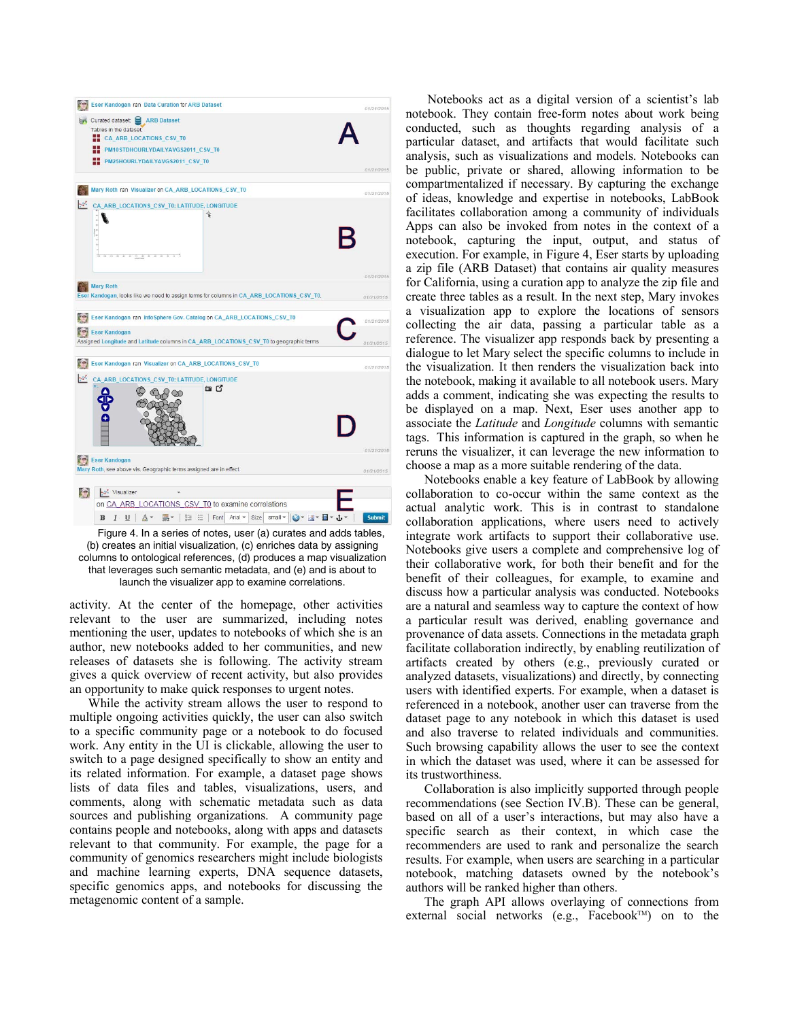

Figure 4. In a series of notes, user (a) curates and adds tables, (b) creates an initial visualization, (c) enriches data by assigning columns to ontological references, (d) produces a map visualization that leverages such semantic metadata, and (e) and is about to launch the visualizer app to examine correlations.

activity. At the center of the homepage, other activities relevant to the user are summarized, including notes mentioning the user, updates to notebooks of which she is an author, new notebooks added to her communities, and new releases of datasets she is following. The activity stream gives a quick overview of recent activity, but also provides an opportunity to make quick responses to urgent notes.

While the activity stream allows the user to respond to multiple ongoing activities quickly, the user can also switch to a specific community page or a notebook to do focused work. Any entity in the UI is clickable, allowing the user to switch to a page designed specifically to show an entity and its related information. For example, a dataset page shows lists of data files and tables, visualizations, users, and comments, along with schematic metadata such as data sources and publishing organizations. A community page contains people and notebooks, along with apps and datasets relevant to that community. For example, the page for a community of genomics researchers might include biologists and machine learning experts, DNA sequence datasets, specific genomics apps, and notebooks for discussing the metagenomic content of a sample.

 Notebooks act as a digital version of a scientist's lab notebook. They contain free-form notes about work being conducted, such as thoughts regarding analysis of a particular dataset, and artifacts that would facilitate such analysis, such as visualizations and models. Notebooks can be public, private or shared, allowing information to be compartmentalized if necessary. By capturing the exchange of ideas, knowledge and expertise in notebooks, LabBook facilitates collaboration among a community of individuals Apps can also be invoked from notes in the context of a notebook, capturing the input, output, and status of execution. For example, in Figure 4, Eser starts by uploading a zip file (ARB Dataset) that contains air quality measures for California, using a curation app to analyze the zip file and create three tables as a result. In the next step, Mary invokes a visualization app to explore the locations of sensors collecting the air data, passing a particular table as a reference. The visualizer app responds back by presenting a dialogue to let Mary select the specific columns to include in the visualization. It then renders the visualization back into the notebook, making it available to all notebook users. Mary adds a comment, indicating she was expecting the results to be displayed on a map. Next, Eser uses another app to associate the *Latitude* and *Longitude* columns with semantic tags. This information is captured in the graph, so when he reruns the visualizer, it can leverage the new information to choose a map as a more suitable rendering of the data.

Notebooks enable a key feature of LabBook by allowing collaboration to co-occur within the same context as the actual analytic work. This is in contrast to standalone collaboration applications, where users need to actively integrate work artifacts to support their collaborative use. Notebooks give users a complete and comprehensive log of their collaborative work, for both their benefit and for the benefit of their colleagues, for example, to examine and discuss how a particular analysis was conducted. Notebooks are a natural and seamless way to capture the context of how a particular result was derived, enabling governance and provenance of data assets. Connections in the metadata graph facilitate collaboration indirectly, by enabling reutilization of artifacts created by others (e.g., previously curated or analyzed datasets, visualizations) and directly, by connecting users with identified experts. For example, when a dataset is referenced in a notebook, another user can traverse from the dataset page to any notebook in which this dataset is used and also traverse to related individuals and communities. Such browsing capability allows the user to see the context in which the dataset was used, where it can be assessed for its trustworthiness.

Collaboration is also implicitly supported through people recommendations (see Section IV.B). These can be general, based on all of a user's interactions, but may also have a specific search as their context, in which case the recommenders are used to rank and personalize the search results. For example, when users are searching in a particular notebook, matching datasets owned by the notebook's authors will be ranked higher than others.

The graph API allows overlaying of connections from external social networks (e.g., Facebook<sup>TM</sup>) on to the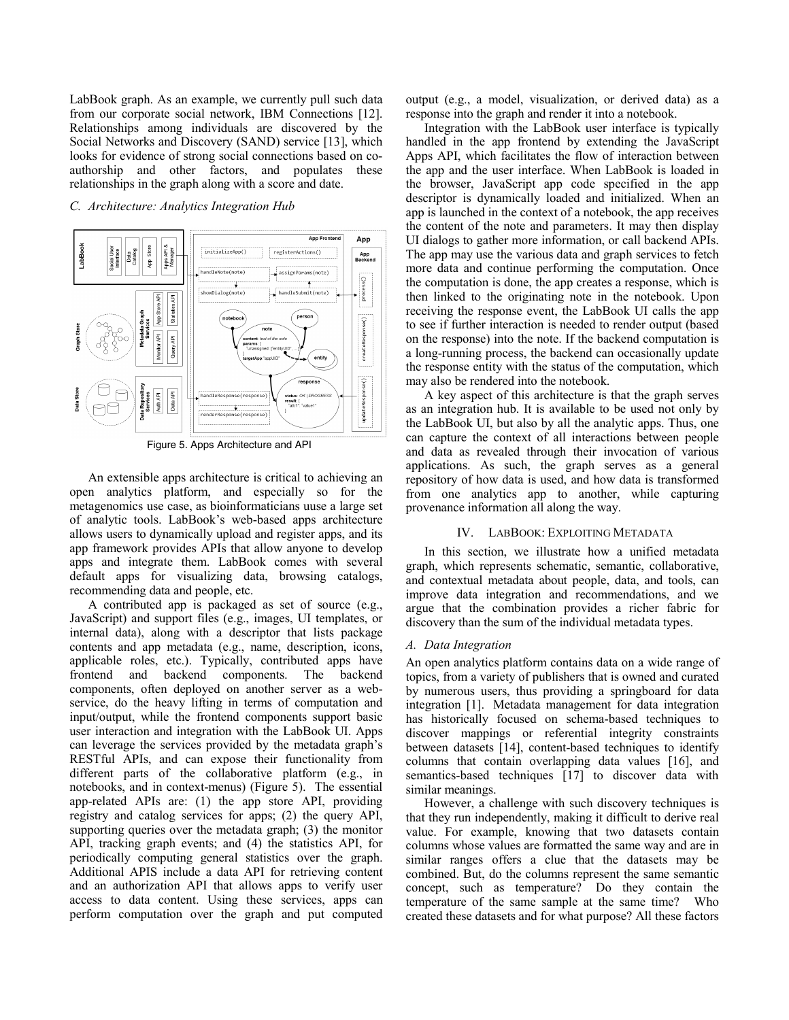LabBook graph. As an example, we currently pull such data from our corporate social network, IBM Connections [12]. Relationships among individuals are discovered by the Social Networks and Discovery (SAND) service [13], which looks for evidence of strong social connections based on coauthorship and other factors, and populates these relationships in the graph along with a score and date.

# *C. Architecture: Analytics Integration Hub*



Figure 5. Apps Architecture and API

An extensible apps architecture is critical to achieving an open analytics platform, and especially so for the metagenomics use case, as bioinformaticians uuse a large set of analytic tools. LabBook's web-based apps architecture allows users to dynamically upload and register apps, and its app framework provides APIs that allow anyone to develop apps and integrate them. LabBook comes with several default apps for visualizing data, browsing catalogs, recommending data and people, etc.

A contributed app is packaged as set of source (e.g., JavaScript) and support files (e.g., images, UI templates, or internal data), along with a descriptor that lists package contents and app metadata (e.g., name, description, icons, applicable roles, etc.). Typically, contributed apps have frontend and backend components. The backend components, often deployed on another server as a webservice, do the heavy lifting in terms of computation and input/output, while the frontend components support basic user interaction and integration with the LabBook UI. Apps can leverage the services provided by the metadata graph's RESTful APIs, and can expose their functionality from different parts of the collaborative platform (e.g., in notebooks, and in context-menus) (Figure 5). The essential app-related APIs are: (1) the app store API, providing registry and catalog services for apps; (2) the query API, supporting queries over the metadata graph; (3) the monitor API, tracking graph events; and (4) the statistics API, for periodically computing general statistics over the graph. Additional APIS include a data API for retrieving content and an authorization API that allows apps to verify user access to data content. Using these services, apps can perform computation over the graph and put computed

output (e.g., a model, visualization, or derived data) as a response into the graph and render it into a notebook.

Integration with the LabBook user interface is typically handled in the app frontend by extending the JavaScript Apps API, which facilitates the flow of interaction between the app and the user interface. When LabBook is loaded in the browser, JavaScript app code specified in the app descriptor is dynamically loaded and initialized. When an app is launched in the context of a notebook, the app receives the content of the note and parameters. It may then display UI dialogs to gather more information, or call backend APIs. The app may use the various data and graph services to fetch more data and continue performing the computation. Once the computation is done, the app creates a response, which is then linked to the originating note in the notebook. Upon receiving the response event, the LabBook UI calls the app to see if further interaction is needed to render output (based on the response) into the note. If the backend computation is a long-running process, the backend can occasionally update the response entity with the status of the computation, which may also be rendered into the notebook.

A key aspect of this architecture is that the graph serves as an integration hub. It is available to be used not only by the LabBook UI, but also by all the analytic apps. Thus, one can capture the context of all interactions between people and data as revealed through their invocation of various applications. As such, the graph serves as a general repository of how data is used, and how data is transformed from one analytics app to another, while capturing provenance information all along the way.

### IV. LABBOOK: EXPLOITING METADATA

In this section, we illustrate how a unified metadata graph, which represents schematic, semantic, collaborative, and contextual metadata about people, data, and tools, can improve data integration and recommendations, and we argue that the combination provides a richer fabric for discovery than the sum of the individual metadata types.

### *A. Data Integration*

An open analytics platform contains data on a wide range of topics, from a variety of publishers that is owned and curated by numerous users, thus providing a springboard for data integration [1]. Metadata management for data integration has historically focused on schema-based techniques to discover mappings or referential integrity constraints between datasets [14], content-based techniques to identify columns that contain overlapping data values [16], and semantics-based techniques [17] to discover data with similar meanings.

However, a challenge with such discovery techniques is that they run independently, making it difficult to derive real value. For example, knowing that two datasets contain columns whose values are formatted the same way and are in similar ranges offers a clue that the datasets may be combined. But, do the columns represent the same semantic concept, such as temperature? Do they contain the temperature of the same sample at the same time? Who created these datasets and for what purpose? All these factors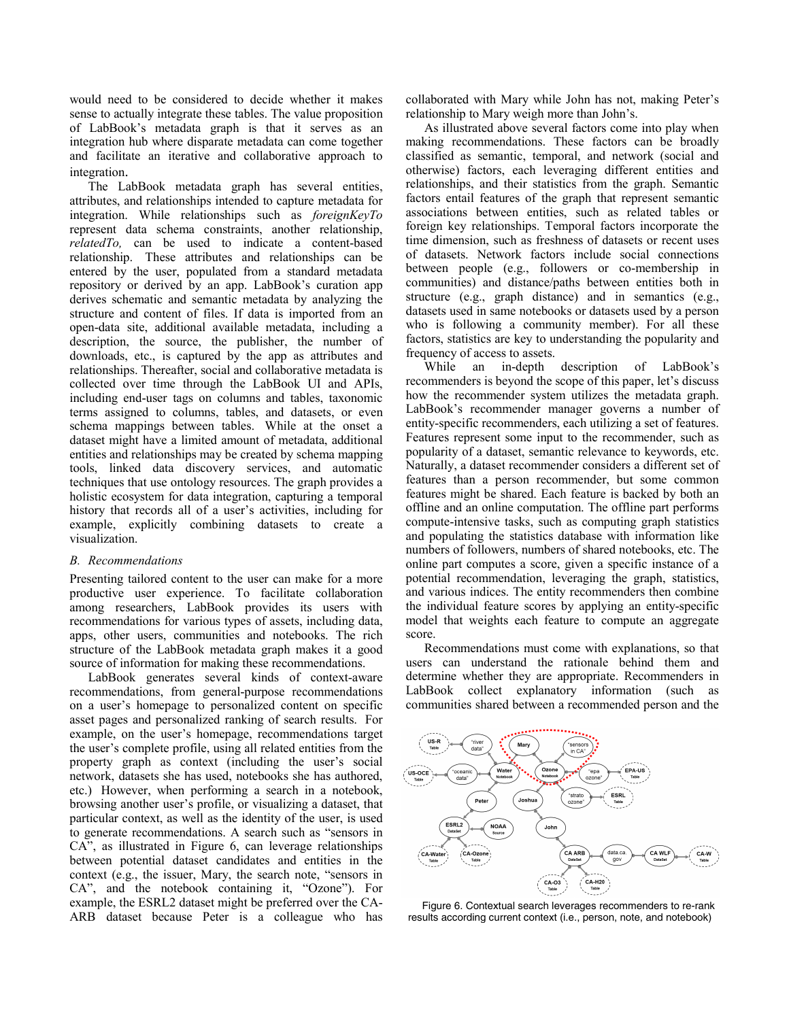would need to be considered to decide whether it makes sense to actually integrate these tables. The value proposition of LabBook's metadata graph is that it serves as an integration hub where disparate metadata can come together and facilitate an iterative and collaborative approach to

integration. The LabBook metadata graph has several entities, attributes, and relationships intended to capture metadata for integration. While relationships such as *foreignKeyTo*  represent data schema constraints, another relationship, *relatedTo,* can be used to indicate a content-based relationship. These attributes and relationships can be entered by the user, populated from a standard metadata repository or derived by an app. LabBook's curation app derives schematic and semantic metadata by analyzing the structure and content of files. If data is imported from an open-data site, additional available metadata, including a description, the source, the publisher, the number of downloads, etc., is captured by the app as attributes and relationships. Thereafter, social and collaborative metadata is collected over time through the LabBook UI and APIs, including end-user tags on columns and tables, taxonomic terms assigned to columns, tables, and datasets, or even schema mappings between tables. While at the onset a dataset might have a limited amount of metadata, additional entities and relationships may be created by schema mapping tools, linked data discovery services, and automatic techniques that use ontology resources. The graph provides a holistic ecosystem for data integration, capturing a temporal history that records all of a user's activities, including for example, explicitly combining datasets to create a visualization.

### *B. Recommendations*

Presenting tailored content to the user can make for a more productive user experience. To facilitate collaboration among researchers, LabBook provides its users with recommendations for various types of assets, including data, apps, other users, communities and notebooks. The rich structure of the LabBook metadata graph makes it a good source of information for making these recommendations.

LabBook generates several kinds of context-aware recommendations, from general-purpose recommendations on a user's homepage to personalized content on specific asset pages and personalized ranking of search results. For example, on the user's homepage, recommendations target the user's complete profile, using all related entities from the property graph as context (including the user's social network, datasets she has used, notebooks she has authored, etc.) However, when performing a search in a notebook, browsing another user's profile, or visualizing a dataset, that particular context, as well as the identity of the user, is used to generate recommendations. A search such as "sensors in CA", as illustrated in Figure 6, can leverage relationships between potential dataset candidates and entities in the context (e.g., the issuer, Mary, the search note, "sensors in CA", and the notebook containing it, "Ozone"). For example, the ESRL2 dataset might be preferred over the CA-ARB dataset because Peter is a colleague who has

collaborated with Mary while John has not, making Peter's relationship to Mary weigh more than John's.

As illustrated above several factors come into play when making recommendations. These factors can be broadly classified as semantic, temporal, and network (social and otherwise) factors, each leveraging different entities and relationships, and their statistics from the graph. Semantic factors entail features of the graph that represent semantic associations between entities, such as related tables or foreign key relationships. Temporal factors incorporate the time dimension, such as freshness of datasets or recent uses of datasets. Network factors include social connections between people (e.g., followers or co-membership in communities) and distance/paths between entities both in structure (e.g., graph distance) and in semantics (e.g., datasets used in same notebooks or datasets used by a person who is following a community member). For all these factors, statistics are key to understanding the popularity and frequency of access to assets.

While an in-depth description of LabBook's recommenders is beyond the scope of this paper, let's discuss how the recommender system utilizes the metadata graph. LabBook's recommender manager governs a number of entity-specific recommenders, each utilizing a set of features. Features represent some input to the recommender, such as popularity of a dataset, semantic relevance to keywords, etc. Naturally, a dataset recommender considers a different set of features than a person recommender, but some common features might be shared. Each feature is backed by both an offline and an online computation. The offline part performs compute-intensive tasks, such as computing graph statistics and populating the statistics database with information like numbers of followers, numbers of shared notebooks, etc. The online part computes a score, given a specific instance of a potential recommendation, leveraging the graph, statistics, and various indices. The entity recommenders then combine the individual feature scores by applying an entity-specific model that weights each feature to compute an aggregate score.

Recommendations must come with explanations, so that users can understand the rationale behind them and determine whether they are appropriate. Recommenders in LabBook collect explanatory information (such as communities shared between a recommended person and the



Figure 6. Contextual search leverages recommenders to re-rank results according current context (i.e., person, note, and notebook)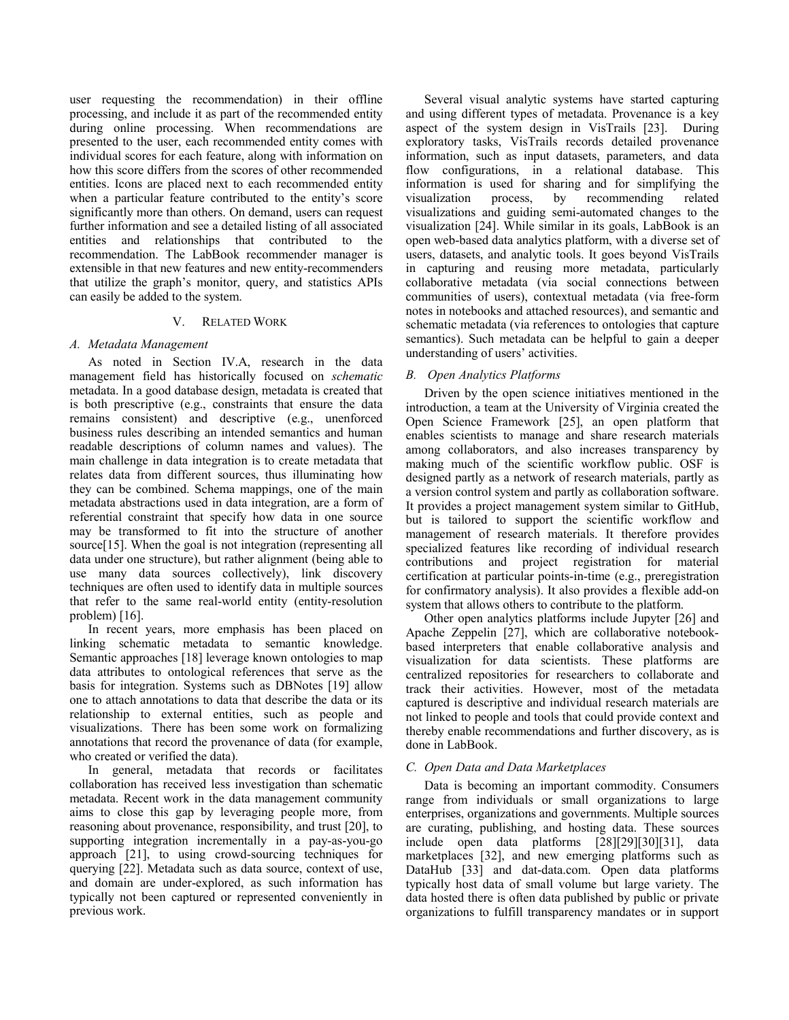user requesting the recommendation) in their offline processing, and include it as part of the recommended entity during online processing. When recommendations are presented to the user, each recommended entity comes with individual scores for each feature, along with information on how this score differs from the scores of other recommended entities. Icons are placed next to each recommended entity when a particular feature contributed to the entity's score significantly more than others. On demand, users can request further information and see a detailed listing of all associated entities and relationships that contributed to the recommendation. The LabBook recommender manager is extensible in that new features and new entity-recommenders that utilize the graph's monitor, query, and statistics APIs can easily be added to the system.

# V. RELATED WORK

# *A. Metadata Management*

As noted in Section IV.A, research in the data management field has historically focused on *schematic*  metadata. In a good database design, metadata is created that is both prescriptive (e.g., constraints that ensure the data remains consistent) and descriptive (e.g., unenforced business rules describing an intended semantics and human readable descriptions of column names and values). The main challenge in data integration is to create metadata that relates data from different sources, thus illuminating how they can be combined. Schema mappings, one of the main metadata abstractions used in data integration, are a form of referential constraint that specify how data in one source may be transformed to fit into the structure of another source[15]. When the goal is not integration (representing all data under one structure), but rather alignment (being able to use many data sources collectively), link discovery techniques are often used to identify data in multiple sources that refer to the same real-world entity (entity-resolution problem) [16].

In recent years, more emphasis has been placed on linking schematic metadata to semantic knowledge. Semantic approaches [18] leverage known ontologies to map data attributes to ontological references that serve as the basis for integration. Systems such as DBNotes [19] allow one to attach annotations to data that describe the data or its relationship to external entities, such as people and visualizations. There has been some work on formalizing annotations that record the provenance of data (for example, who created or verified the data).

In general, metadata that records or facilitates collaboration has received less investigation than schematic metadata. Recent work in the data management community aims to close this gap by leveraging people more, from reasoning about provenance, responsibility, and trust [20], to supporting integration incrementally in a pay-as-you-go approach [21], to using crowd-sourcing techniques for querying [22]. Metadata such as data source, context of use, and domain are under-explored, as such information has typically not been captured or represented conveniently in previous work.

Several visual analytic systems have started capturing and using different types of metadata. Provenance is a key aspect of the system design in VisTrails [23]. During exploratory tasks, VisTrails records detailed provenance information, such as input datasets, parameters, and data flow configurations, in a relational database. This information is used for sharing and for simplifying the visualization process, by recommending related visualizations and guiding semi-automated changes to the visualization [24]. While similar in its goals, LabBook is an open web-based data analytics platform, with a diverse set of users, datasets, and analytic tools. It goes beyond VisTrails in capturing and reusing more metadata, particularly collaborative metadata (via social connections between communities of users), contextual metadata (via free-form notes in notebooks and attached resources), and semantic and schematic metadata (via references to ontologies that capture semantics). Such metadata can be helpful to gain a deeper understanding of users' activities.

# *B. Open Analytics Platforms*

Driven by the open science initiatives mentioned in the introduction, a team at the University of Virginia created the Open Science Framework [25], an open platform that enables scientists to manage and share research materials among collaborators, and also increases transparency by making much of the scientific workflow public. OSF is designed partly as a network of research materials, partly as a version control system and partly as collaboration software. It provides a project management system similar to GitHub, but is tailored to support the scientific workflow and management of research materials. It therefore provides specialized features like recording of individual research contributions and project registration for material certification at particular points-in-time (e.g., preregistration for confirmatory analysis). It also provides a flexible add-on system that allows others to contribute to the platform.

Other open analytics platforms include Jupyter [26] and Apache Zeppelin [27], which are collaborative notebookbased interpreters that enable collaborative analysis and visualization for data scientists. These platforms are centralized repositories for researchers to collaborate and track their activities. However, most of the metadata captured is descriptive and individual research materials are not linked to people and tools that could provide context and thereby enable recommendations and further discovery, as is done in LabBook.

# *C. Open Data and Data Marketplaces*

Data is becoming an important commodity. Consumers range from individuals or small organizations to large enterprises, organizations and governments. Multiple sources are curating, publishing, and hosting data. These sources include open data platforms [28][29][30][31], data marketplaces [32], and new emerging platforms such as DataHub [33] and dat-data.com. Open data platforms typically host data of small volume but large variety. The data hosted there is often data published by public or private organizations to fulfill transparency mandates or in support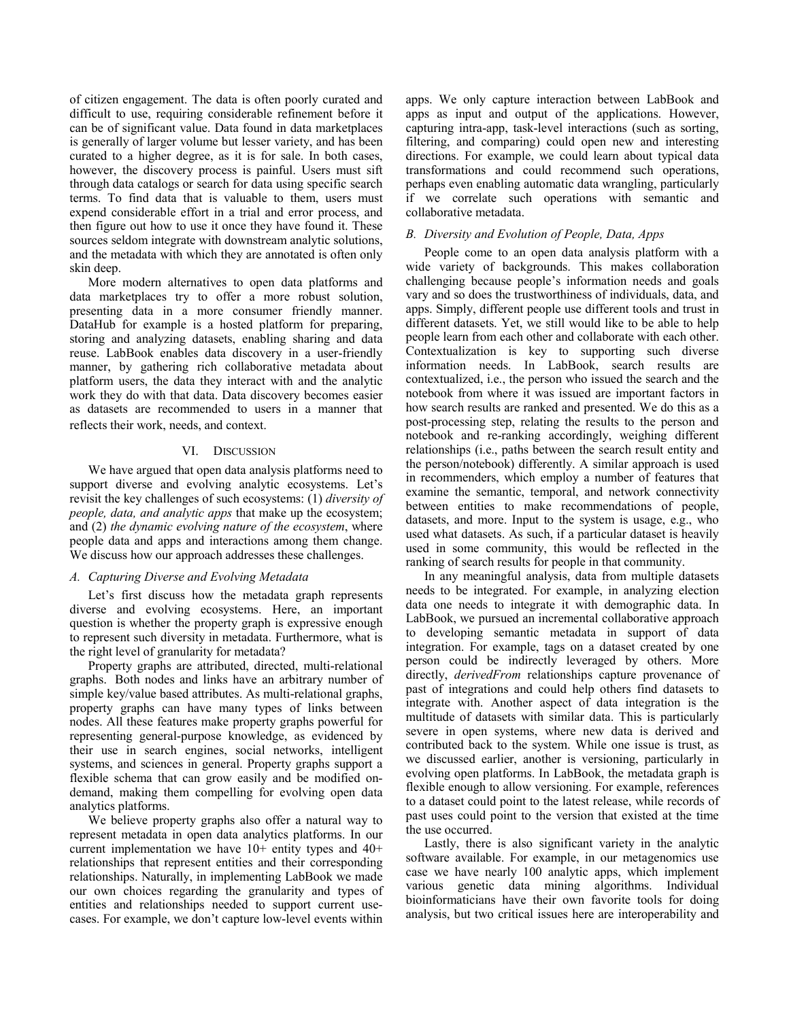of citizen engagement. The data is often poorly curated and difficult to use, requiring considerable refinement before it can be of significant value. Data found in data marketplaces is generally of larger volume but lesser variety, and has been curated to a higher degree, as it is for sale. In both cases, however, the discovery process is painful. Users must sift through data catalogs or search for data using specific search terms. To find data that is valuable to them, users must expend considerable effort in a trial and error process, and then figure out how to use it once they have found it. These sources seldom integrate with downstream analytic solutions, and the metadata with which they are annotated is often only skin deep.

More modern alternatives to open data platforms and data marketplaces try to offer a more robust solution, presenting data in a more consumer friendly manner. DataHub for example is a hosted platform for preparing, storing and analyzing datasets, enabling sharing and data reuse. LabBook enables data discovery in a user-friendly manner, by gathering rich collaborative metadata about platform users, the data they interact with and the analytic work they do with that data. Data discovery becomes easier as datasets are recommended to users in a manner that reflects their work, needs, and context.

### VI. DISCUSSION

We have argued that open data analysis platforms need to support diverse and evolving analytic ecosystems. Let's revisit the key challenges of such ecosystems: (1) *diversity of people, data, and analytic apps* that make up the ecosystem; and (2) *the dynamic evolving nature of the ecosystem*, where people data and apps and interactions among them change. We discuss how our approach addresses these challenges.

#### *A. Capturing Diverse and Evolving Metadata*

Let's first discuss how the metadata graph represents diverse and evolving ecosystems. Here, an important question is whether the property graph is expressive enough to represent such diversity in metadata. Furthermore, what is the right level of granularity for metadata?

Property graphs are attributed, directed, multi-relational graphs. Both nodes and links have an arbitrary number of simple key/value based attributes. As multi-relational graphs, property graphs can have many types of links between nodes. All these features make property graphs powerful for representing general-purpose knowledge, as evidenced by their use in search engines, social networks, intelligent systems, and sciences in general. Property graphs support a flexible schema that can grow easily and be modified ondemand, making them compelling for evolving open data analytics platforms.

We believe property graphs also offer a natural way to represent metadata in open data analytics platforms. In our current implementation we have 10+ entity types and 40+ relationships that represent entities and their corresponding relationships. Naturally, in implementing LabBook we made our own choices regarding the granularity and types of entities and relationships needed to support current usecases. For example, we don't capture low-level events within

apps. We only capture interaction between LabBook and apps as input and output of the applications. However, capturing intra-app, task-level interactions (such as sorting, filtering, and comparing) could open new and interesting directions. For example, we could learn about typical data transformations and could recommend such operations, perhaps even enabling automatic data wrangling, particularly if we correlate such operations with semantic and collaborative metadata.

# *B. Diversity and Evolution of People, Data, Apps*

People come to an open data analysis platform with a wide variety of backgrounds. This makes collaboration challenging because people's information needs and goals vary and so does the trustworthiness of individuals, data, and apps. Simply, different people use different tools and trust in different datasets. Yet, we still would like to be able to help people learn from each other and collaborate with each other. Contextualization is key to supporting such diverse information needs. In LabBook, search results are contextualized, i.e., the person who issued the search and the notebook from where it was issued are important factors in how search results are ranked and presented. We do this as a post-processing step, relating the results to the person and notebook and re-ranking accordingly, weighing different relationships (i.e., paths between the search result entity and the person/notebook) differently. A similar approach is used in recommenders, which employ a number of features that examine the semantic, temporal, and network connectivity between entities to make recommendations of people, datasets, and more. Input to the system is usage, e.g., who used what datasets. As such, if a particular dataset is heavily used in some community, this would be reflected in the ranking of search results for people in that community.

In any meaningful analysis, data from multiple datasets needs to be integrated. For example, in analyzing election data one needs to integrate it with demographic data. In LabBook, we pursued an incremental collaborative approach to developing semantic metadata in support of data integration. For example, tags on a dataset created by one person could be indirectly leveraged by others. More directly, *derivedFrom* relationships capture provenance of past of integrations and could help others find datasets to integrate with. Another aspect of data integration is the multitude of datasets with similar data. This is particularly severe in open systems, where new data is derived and contributed back to the system. While one issue is trust, as we discussed earlier, another is versioning, particularly in evolving open platforms. In LabBook, the metadata graph is flexible enough to allow versioning. For example, references to a dataset could point to the latest release, while records of past uses could point to the version that existed at the time the use occurred.

Lastly, there is also significant variety in the analytic software available. For example, in our metagenomics use case we have nearly 100 analytic apps, which implement various genetic data mining algorithms. Individual bioinformaticians have their own favorite tools for doing analysis, but two critical issues here are interoperability and